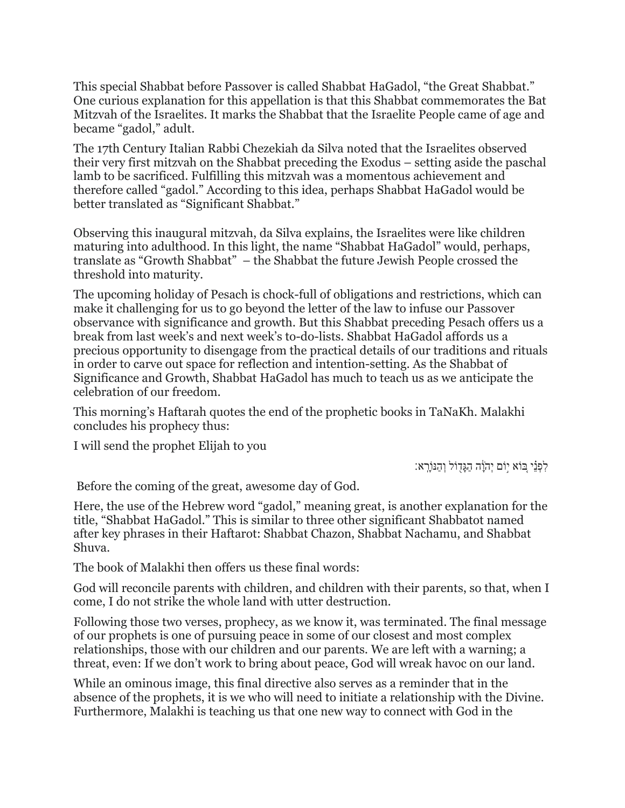This special Shabbat before Passover is called Shabbat HaGadol, "the Great Shabbat." One curious explanation for this appellation is that this Shabbat commemorates the Bat Mitzvah of the Israelites. It marks the Shabbat that the Israelite People came of age and became "gadol," adult.

The 17th Century Italian Rabbi Chezekiah da Silva noted that the Israelites observed their very first mitzvah on the Shabbat preceding the Exodus – setting aside the paschal lamb to be sacrificed. Fulfilling this mitzvah was a momentous achievement and therefore called "gadol." According to this idea, perhaps Shabbat HaGadol would be better translated as "Significant Shabbat."

Observing this inaugural mitzvah, da Silva explains, the Israelites were like children maturing into adulthood. In this light, the name "Shabbat HaGadol" would, perhaps, translate as "Growth Shabbat" – the Shabbat the future Jewish People crossed the threshold into maturity.

The upcoming holiday of Pesach is chock-full of obligations and restrictions, which can make it challenging for us to go beyond the letter of the law to infuse our Passover observance with significance and growth. But this Shabbat preceding Pesach offers us a break from last week's and next week's to-do-lists. Shabbat HaGadol affords us a precious opportunity to disengage from the practical details of our traditions and rituals in order to carve out space for reflection and intention-setting. As the Shabbat of Significance and Growth, Shabbat HaGadol has much to teach us as we anticipate the celebration of our freedom.

This morning's Haftarah quotes the end of the prophetic books in TaNaKh. Malakhi concludes his prophecy thus:

I will send the prophet Elijah to you

ֹלְפָּנֵי ְבּוֹא יְוֹם יְהִוֵּה הַגַּדְוֹל וְהַנּוֹרָא:

Before the coming of the great, awesome day of God.

Here, the use of the Hebrew word "gadol," meaning great, is another explanation for the title, "Shabbat HaGadol." This is similar to three other significant Shabbatot named after key phrases in their Haftarot: Shabbat Chazon, Shabbat Nachamu, and Shabbat Shuva.

The book of Malakhi then offers us these final words:

God will reconcile parents with children, and children with their parents, so that, when I come, I do not strike the whole land with utter destruction.

Following those two verses, prophecy, as we know it, was terminated. The final message of our prophets is one of pursuing peace in some of our closest and most complex relationships, those with our children and our parents. We are left with a warning; a threat, even: If we don't work to bring about peace, God will wreak havoc on our land.

While an ominous image, this final directive also serves as a reminder that in the absence of the prophets, it is we who will need to initiate a relationship with the Divine. Furthermore, Malakhi is teaching us that one new way to connect with God in the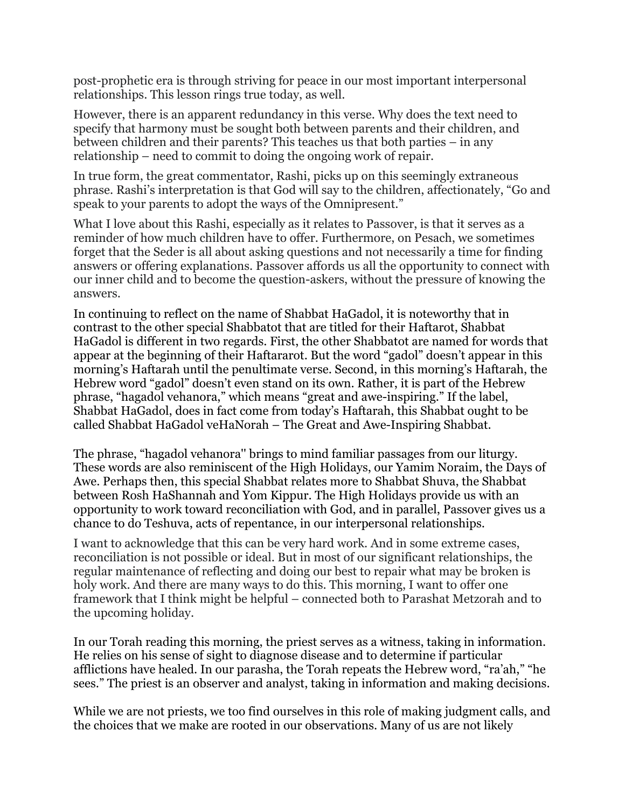post-prophetic era is through striving for peace in our most important interpersonal relationships. This lesson rings true today, as well.

However, there is an apparent redundancy in this verse. Why does the text need to specify that harmony must be sought both between parents and their children, and between children and their parents? This teaches us that both parties – in any relationship – need to commit to doing the ongoing work of repair.

In true form, the great commentator, Rashi, picks up on this seemingly extraneous phrase. Rashi's interpretation is that God will say to the children, affectionately, "Go and speak to your parents to adopt the ways of the Omnipresent."

What I love about this Rashi, especially as it relates to Passover, is that it serves as a reminder of how much children have to offer. Furthermore, on Pesach, we sometimes forget that the Seder is all about asking questions and not necessarily a time for finding answers or offering explanations. Passover affords us all the opportunity to connect with our inner child and to become the question-askers, without the pressure of knowing the answers.

In continuing to reflect on the name of Shabbat HaGadol, it is noteworthy that in contrast to the other special Shabbatot that are titled for their Haftarot, Shabbat HaGadol is different in two regards. First, the other Shabbatot are named for words that appear at the beginning of their Haftararot. But the word "gadol" doesn't appear in this morning's Haftarah until the penultimate verse. Second, in this morning's Haftarah, the Hebrew word "gadol" doesn't even stand on its own. Rather, it is part of the Hebrew phrase, "hagadol vehanora," which means "great and awe-inspiring." If the label, Shabbat HaGadol, does in fact come from today's Haftarah, this Shabbat ought to be called Shabbat HaGadol veHaNorah – The Great and Awe-Inspiring Shabbat.

The phrase, "hagadol vehanora'' brings to mind familiar passages from our liturgy. These words are also reminiscent of the High Holidays, our Yamim Noraim, the Days of Awe. Perhaps then, this special Shabbat relates more to Shabbat Shuva, the Shabbat between Rosh HaShannah and Yom Kippur. The High Holidays provide us with an opportunity to work toward reconciliation with God, and in parallel, Passover gives us a chance to do Teshuva, acts of repentance, in our interpersonal relationships.

I want to acknowledge that this can be very hard work. And in some extreme cases, reconciliation is not possible or ideal. But in most of our significant relationships, the regular maintenance of reflecting and doing our best to repair what may be broken is holy work. And there are many ways to do this. This morning, I want to offer one framework that I think might be helpful – connected both to Parashat Metzorah and to the upcoming holiday.

In our Torah reading this morning, the priest serves as a witness, taking in information. He relies on his sense of sight to diagnose disease and to determine if particular afflictions have healed. In our parasha, the Torah repeats the Hebrew word, "ra'ah," "he sees." The priest is an observer and analyst, taking in information and making decisions.

While we are not priests, we too find ourselves in this role of making judgment calls, and the choices that we make are rooted in our observations. Many of us are not likely